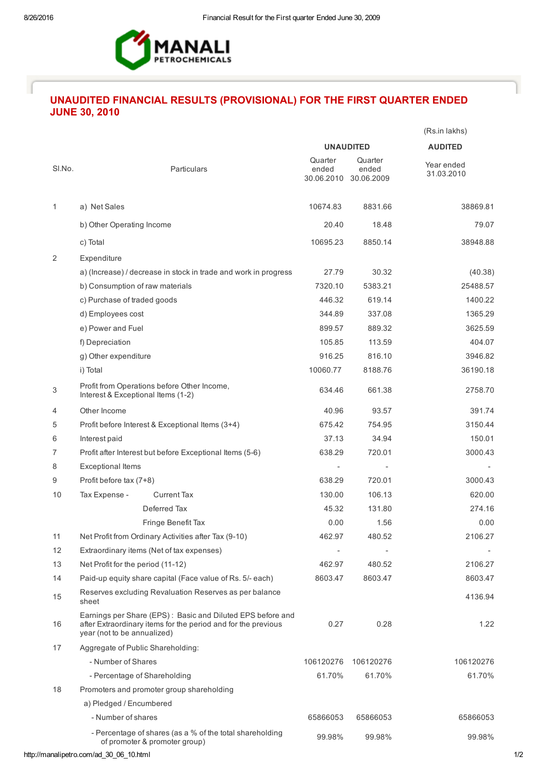

## UNAUDITED FINANCIAL RESULTS (PROVISIONAL) FOR THE FIRST QUARTER ENDED JUNE 30, 2010

|        |                                                                                                                                                            |                  |                                           | (Rs.in lakhs)            |
|--------|------------------------------------------------------------------------------------------------------------------------------------------------------------|------------------|-------------------------------------------|--------------------------|
|        |                                                                                                                                                            |                  | <b>UNAUDITED</b>                          | <b>AUDITED</b>           |
| SI.No. | Particulars                                                                                                                                                | Quarter<br>ended | Quarter<br>ended<br>30.06.2010 30.06.2009 | Year ended<br>31.03.2010 |
| 1      | a) Net Sales                                                                                                                                               | 10674.83         | 8831.66                                   | 38869.81                 |
|        | b) Other Operating Income                                                                                                                                  | 20.40            | 18.48                                     | 79.07                    |
|        | c) Total                                                                                                                                                   | 10695.23         | 8850.14                                   | 38948.88                 |
| 2      | Expenditure                                                                                                                                                |                  |                                           |                          |
|        | a) (Increase) / decrease in stock in trade and work in progress                                                                                            | 27.79            | 30.32                                     | (40.38)                  |
|        | b) Consumption of raw materials                                                                                                                            | 7320.10          | 5383.21                                   | 25488.57                 |
|        | c) Purchase of traded goods                                                                                                                                | 446.32           | 619.14                                    | 1400.22                  |
|        | d) Employees cost                                                                                                                                          | 344.89           | 337.08                                    | 1365.29                  |
|        | e) Power and Fuel                                                                                                                                          | 899.57           | 889.32                                    | 3625.59                  |
|        | f) Depreciation                                                                                                                                            | 105.85           | 113.59                                    | 404.07                   |
|        | g) Other expenditure                                                                                                                                       | 916.25           | 816.10                                    | 3946.82                  |
|        | i) Total                                                                                                                                                   | 10060.77         | 8188.76                                   | 36190.18                 |
| 3      | Profit from Operations before Other Income,<br>Interest & Exceptional Items (1-2)                                                                          | 634.46           | 661.38                                    | 2758.70                  |
| 4      | Other Income                                                                                                                                               | 40.96            | 93.57                                     | 391.74                   |
| 5      | Profit before Interest & Exceptional Items (3+4)                                                                                                           | 675.42           | 754.95                                    | 3150.44                  |
| 6      | Interest paid                                                                                                                                              | 37.13            | 34.94                                     | 150.01                   |
| 7      | Profit after Interest but before Exceptional Items (5-6)                                                                                                   | 638.29           | 720.01                                    | 3000.43                  |
| 8      | <b>Exceptional Items</b>                                                                                                                                   |                  |                                           |                          |
| 9      | Profit before tax (7+8)                                                                                                                                    | 638.29           | 720.01                                    | 3000.43                  |
| 10     | <b>Current Tax</b><br>Tax Expense -                                                                                                                        | 130.00           | 106.13                                    | 620.00                   |
|        | Deferred Tax                                                                                                                                               | 45.32            | 131.80                                    | 274.16                   |
|        | Fringe Benefit Tax                                                                                                                                         | 0.00             | 1.56                                      | 0.00                     |
| 11     | Net Profit from Ordinary Activities after Tax (9-10)                                                                                                       | 462.97           | 480.52                                    | 2106.27                  |
| 12     | Extraordinary items (Net of tax expenses)                                                                                                                  |                  |                                           |                          |
| 13     | Net Profit for the period (11-12)                                                                                                                          | 462.97           | 480.52                                    | 2106.27                  |
| 14     | Paid-up equity share capital (Face value of Rs. 5/- each)                                                                                                  | 8603.47          | 8603.47                                   | 8603.47                  |
| 15     | Reserves excluding Revaluation Reserves as per balance<br>sheet                                                                                            |                  |                                           | 4136.94                  |
| 16     | Earnings per Share (EPS): Basic and Diluted EPS before and<br>after Extraordinary items for the period and for the previous<br>year (not to be annualized) | 0.27             | 0.28                                      | 1.22                     |
| 17     | Aggregate of Public Shareholding:                                                                                                                          |                  |                                           |                          |
|        | - Number of Shares                                                                                                                                         | 106120276        | 106120276                                 | 106120276                |
|        | - Percentage of Shareholding                                                                                                                               | 61.70%           | 61.70%                                    | 61.70%                   |
| 18     | Promoters and promoter group shareholding                                                                                                                  |                  |                                           |                          |
|        | a) Pledged / Encumbered                                                                                                                                    |                  |                                           |                          |
|        | - Number of shares                                                                                                                                         | 65866053         | 65866053                                  | 65866053                 |
|        | - Percentage of shares (as a % of the total shareholding<br>of promoter & promoter group)                                                                  | 99.98%           | 99.98%                                    | 99.98%                   |